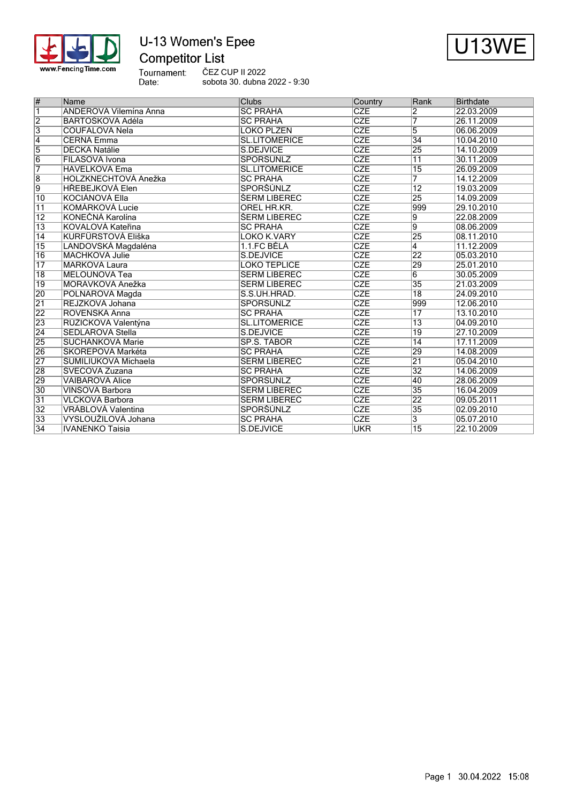

# U-13 Women's Epee



ČEZ CUP II 2022 sobota 30. dubna 2022 - 9:30

| $\overline{\#}$ | Name                          | <b>Clubs</b>         | Country                 | Rank            | <b>Birthdate</b> |
|-----------------|-------------------------------|----------------------|-------------------------|-----------------|------------------|
| $\overline{1}$  | <b>ANDEROVÁ Vilemína Anna</b> | <b>SC PRAHA</b>      | <b>CZE</b>              | 2               | 22.03.2009       |
| $\overline{2}$  | BARTOŠKOVÁ Adéla              | <b>SC PRAHA</b>      | <b>CZE</b>              | 7               | 26.11.2009       |
| $\overline{3}$  | <b>COUFALOVÁ Nela</b>         | LOKO PLZEŇ           | <b>CZE</b>              | 5               | 06.06.2009       |
| $\overline{4}$  | <b>ČERNÁ Emma</b>             | <b>SL.LITOMÉŘICE</b> | <b>CZE</b>              | $\overline{34}$ | 10.04.2010       |
| 5               | <b>DÉCKÁ Natálie</b>          | S.DEJVICE            | <b>CZE</b>              | 25              | 14.10.2009       |
| $\overline{6}$  | FILASOVÁ Ivona                | <b>SPORSUNLZ</b>     | <b>CZE</b>              | $\overline{11}$ | 30.11.2009       |
| 7               | <b>HAVELKOVÁ Ema</b>          | <b>SL.LITOMÉRICE</b> | CZE                     | $\overline{15}$ | 26.09.2009       |
| 8               | <b>HOLZKNECHTOVÁ Anežka</b>   | <b>SC PRAHA</b>      | <b>CZE</b>              | 7               | 14.12.2009       |
| 9               | <b>HŘEBEJKOVÁ Elen</b>        | <b>SPORŠÚNLZ</b>     | <b>CZE</b>              | $\overline{12}$ | 19.03.2009       |
| $\overline{10}$ | <b>KOCIÁNOVÁ Ella</b>         | ŠERM LIBEREC         | <b>CZE</b>              | 25              | 14.09.2009       |
| $\overline{11}$ | KOMÁRKOVÁ Lucie               | OREL HR.KR.          | <b>CZE</b>              | 999             | 29.10.2010       |
| $\overline{12}$ | KONEČNÁ Karolína              | ŠERM LIBEREC         | <b>CZE</b>              | $\overline{9}$  | 22.08.2009       |
| $\overline{13}$ | KOVALOVÁ Kateřina             | <b>SC PRAHA</b>      | CZE                     | $\overline{9}$  | 08.06.2009       |
| $\overline{14}$ | <b>KURFÜRSTOVÁ Eliška</b>     | <b>LOKO K.VARY</b>   | <b>CZE</b>              | 25              | 08.11.2010       |
| $\overline{15}$ | LANDOVSKÁ Magdaléna           | 1.1.FC BELA          | CZE                     | $\overline{4}$  | 11.12.2009       |
| $\overline{16}$ | <b>MACHKOVÁ Julie</b>         | S.DEJVICE            | CZE                     | 22              | 05.03.2010       |
| $\overline{17}$ | <b>MARKOVÁ Laura</b>          | <b>LOKO TEPLICE</b>  | $\overline{\text{CZE}}$ | 29              | 25.01.2010       |
| $\overline{18}$ | MELOUNOVÁ Tea                 | ŠERM LIBEREC         | <b>CZE</b>              | $\overline{6}$  | 30.05.2009       |
| $\overline{19}$ | MORÁVKOVÁ Anežka              | <b>ŠERM LIBEREC</b>  | <b>CZE</b>              | 35              | 21.03.2009       |
| 20              | POLNAROVÁ Magda               | S.S.UH.HRAD.         | CZE                     | $\overline{18}$ | 24.09.2010       |
| $\overline{21}$ | REJZKOVÁ Johana               | SPORŠÚNLZ            | CZE                     | 999             | 12.06.2010       |
| 22              | ROVENSKÁ Anna                 | <b>SC PRAHA</b>      | CZE                     | $\overline{17}$ | 13.10.2010       |
| 23              | RŮŽIČKOVÁ Valentýna           | <b>SL.LITOMÉRICE</b> | <b>CZE</b>              | $\overline{13}$ | 04.09.2010       |
| $\overline{24}$ | <b>SEDLAROVA Stella</b>       | S.DEJVICE            | <b>CZE</b>              | $\overline{19}$ | 27.10.2009       |
| 25              | <b>SUCHÁNKOVÁ Marie</b>       | <b>SP.S. TABOR</b>   | <b>CZE</b>              | $\overline{14}$ | 17.11.2009       |
| 26              | ŠKOŘEPOVÁ Markéta             | <b>SC PRAHA</b>      | <b>CZE</b>              | 29              | 14.08.2009       |
| $\overline{27}$ | ŠUMILIUKOVÁ Michaela          | <b>ŠERM LIBEREC</b>  | <b>CZE</b>              | $\overline{21}$ | 05.04.2010       |
| 28              | ŠVECOVÁ Zuzana                | <b>SC PRAHA</b>      | CZE                     | 32              | 14.06.2009       |
| 29              | <b>VAIBAROVÁ Alice</b>        | SPORŠÚNLZ            | CZE                     | 40              | 28.06.2009       |
| 30              | VINŠOVÁ Barbora               | ŠERM LIBEREC         | <b>CZE</b>              | 35              | 16.04.2009       |
| 31              | VLČKOVÁ Barbora               | ŠERM LIBEREC         | <b>CZE</b>              | 22              | 09.05.2011       |
| 32              | <b>VRÁBLOVÁ Valentina</b>     | <b>SPORŠÚNLZ</b>     | <b>CZE</b>              | 35              | 02.09.2010       |
| $\overline{33}$ | VYSLOUŽILOVÁ Johana           | <b>SC PRAHA</b>      | <b>CZE</b>              | 3               | 05.07.2010       |
| $\overline{34}$ | <b>IVANENKO Taisia</b>        | S.DEJVICE            | <b>UKR</b>              | $\overline{15}$ | 22.10.2009       |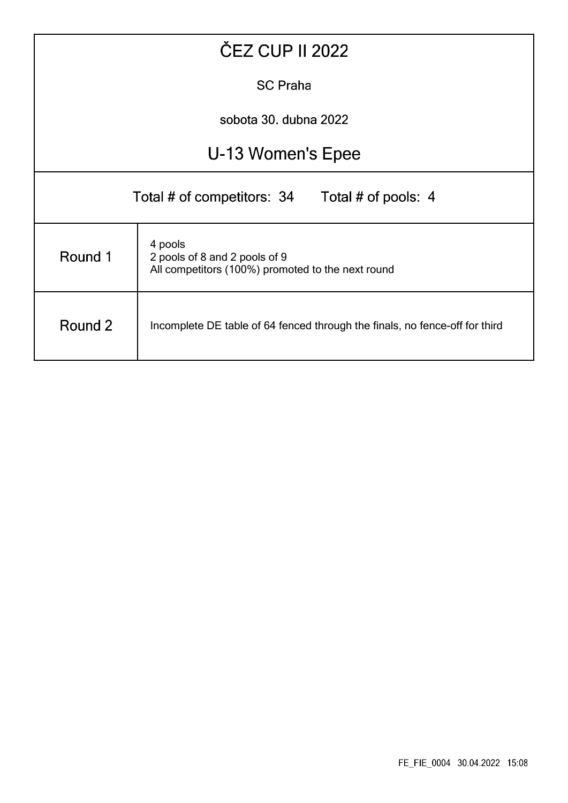| ČEZ CUP II 2022                                                                                          |                   |  |  |  |  |  |  |  |  |
|----------------------------------------------------------------------------------------------------------|-------------------|--|--|--|--|--|--|--|--|
| <b>SC Praha</b>                                                                                          |                   |  |  |  |  |  |  |  |  |
| sobota 30. dubna 2022                                                                                    |                   |  |  |  |  |  |  |  |  |
|                                                                                                          | U-13 Women's Epee |  |  |  |  |  |  |  |  |
| Total # of competitors: 34 Total # of pools: 4                                                           |                   |  |  |  |  |  |  |  |  |
| 4 pools<br>Round 1<br>2 pools of 8 and 2 pools of 9<br>All competitors (100%) promoted to the next round |                   |  |  |  |  |  |  |  |  |
| Round 2<br>Incomplete DE table of 64 fenced through the finals, no fence-off for third                   |                   |  |  |  |  |  |  |  |  |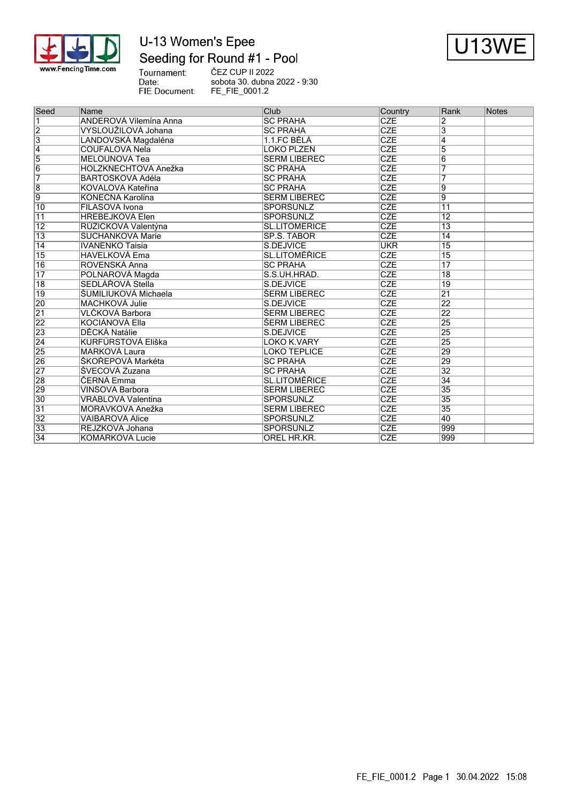

# U-13 Women's Epee Seeding for Round #1 - Pool



Tournament:<br>Date: FIE Document:

ČEZ CUP II 2022 sobota 30. dubna 2022 - 9:30 FE\_FIE\_0001.2

| $\overline{\mathbf{1}}$<br><b>CZE</b><br>ANDEROVÁ Vilemína Anna<br><b>SC PRAHA</b><br>2<br>$\overline{2}$<br><b>CZE</b><br>VYSLOUŽILOVÁ Johana<br><b>SC PRAHA</b><br>3<br>$\overline{3}$<br><b>CZE</b><br>1.1.FC BĚLÁ<br>LANDOVSKÁ Magdaléna<br>4<br>$\overline{4}$<br><b>CZE</b><br>$\overline{5}$<br>COUFALOVÁ Nela<br>LOKO PLZEŇ<br>$\overline{5}$<br><b>CZE</b><br>MELOUNOVÁ Tea<br>ŠERM LIBEREC<br>6<br>$\overline{6}$<br>CZE<br>HOLZKNECHTOVÁ Anežka<br><b>SC PRAHA</b><br>7<br><b>CZE</b><br>7<br>BARTOŠKOVÁ Adéla<br><b>SC PRAHA</b><br>$\overline{\text{CZE}}$<br>KOVALOVÁ Kateřina<br><b>SC PRAHA</b><br>9<br>9<br><b>CZE</b><br>KONEČNÁ Karolína<br>ŠERM LIBEREC<br>9<br><b>SPORŠÚNLZ</b><br>CZE<br>$\overline{10}$<br>FILASOVÁ Ivona<br>$\overline{11}$<br><b>HŘEBEJKOVÁ Elen</b><br><b>SPORŠÚNLZ</b><br><b>CZE</b><br>$\overline{12}$<br>11<br>$\overline{12}$<br>RŮŽIČKOVÁ Valentýna<br><b>SL.LITOMĚŘICE</b><br><b>CZE</b><br>$\overline{13}$<br><b>CZE</b><br>$\overline{13}$<br>SP.Š. TÁBOR<br>$\overline{14}$<br>SUCHÁNKOVÁ Marie<br><b>UKR</b><br>$\overline{15}$<br>14<br><b>IVANENKO Taisia</b><br>S.DEJVICE<br>CZE<br>$\overline{15}$<br><b>HAVELKOVÁ Ema</b><br><b>SL.LITOMĚŘICE</b><br>$\overline{15}$<br><b>CZE</b><br>$\overline{17}$<br>$\overline{16}$<br><b>ROVENSKÁ Anna</b><br><b>SC PRAHA</b><br>CZE<br>$\overline{17}$<br>$\overline{18}$<br>POLNAROVÁ Magda<br>S.S.UH.HRAD.<br>$\overline{\text{CZE}}$<br>$\overline{18}$<br>SEDLÁŘOVÁ Stella<br>S.DEJVICE<br>$\overline{19}$<br>$\overline{19}$<br>ŠUMILIUKOVÁ Michaela<br><b>CZE</b><br>ŠERM LIBEREC<br>$\overline{21}$<br><b>CZE</b><br><b>MACHKOVÁ Julie</b><br>22<br>S.DEJVICE<br><b>CZE</b><br>VLČKOVÁ Barbora<br>22<br>ŠERM LIBEREC<br>22<br>CZE<br>25<br><b>KOCIÁNOVÁ Ella</b><br><b>ŠERM LIBEREC</b><br>CZE<br>25<br>DĚCKÁ Natálie<br>S.DEJVICE<br>CZE<br>KURFÜRSTOVÁ Eliška<br>25<br><b>LOKO K.VARY</b><br>CZE<br>29<br><b>MARKOVÁ Laura</b><br><b>LOKO TEPLICE</b><br>26<br>SKOŘEPOVÁ Markéta<br><b>CZE</b><br>29<br><b>SC PRAHA</b><br>$\overline{27}$<br><b>CZE</b><br>$\overline{32}$<br>ŠVECOVÁ Zuzana<br><b>SC PRAHA</b><br><b>CZE</b><br>ČERNÁ Emma<br><b>SL.LITOMÉŘICE</b><br>34<br>CZE<br><b>ŠERM LIBEREC</b><br>35<br>VINŠOVÁ Barbora<br><b>SPORŠÚNLZ</b><br><b>CZE</b><br>$\overline{30}$<br>VRÁBLOVÁ Valentina<br>35<br>$\overline{31}$<br>CZE<br>35<br>MORÁVKOVÁ Anežka<br>ŠERM LIBEREC<br>$\overline{32}$<br>SPORŠÚNLZ<br><b>CZE</b><br><b>VAIBAROVÁ Alice</b><br>40<br>SPORŠÚNLZ<br>REJZKOVÁ Johana<br><b>CZE</b><br>999<br><b>CZE</b><br>999<br>KOMÁRKOVÁ Lucie<br>OREL HR.KR. | Seed            | Name | Club | Country | Rank | Notes |
|-------------------------------------------------------------------------------------------------------------------------------------------------------------------------------------------------------------------------------------------------------------------------------------------------------------------------------------------------------------------------------------------------------------------------------------------------------------------------------------------------------------------------------------------------------------------------------------------------------------------------------------------------------------------------------------------------------------------------------------------------------------------------------------------------------------------------------------------------------------------------------------------------------------------------------------------------------------------------------------------------------------------------------------------------------------------------------------------------------------------------------------------------------------------------------------------------------------------------------------------------------------------------------------------------------------------------------------------------------------------------------------------------------------------------------------------------------------------------------------------------------------------------------------------------------------------------------------------------------------------------------------------------------------------------------------------------------------------------------------------------------------------------------------------------------------------------------------------------------------------------------------------------------------------------------------------------------------------------------------------------------------------------------------------------------------------------------------------------------------------------------------------------------------------------------------------------------------------------------------------------------------------------------------------------------------------------------------------------------------------------------------------------------------------------------------------------------------------------------------------------------------------------------------------------------------------------------------------|-----------------|------|------|---------|------|-------|
|                                                                                                                                                                                                                                                                                                                                                                                                                                                                                                                                                                                                                                                                                                                                                                                                                                                                                                                                                                                                                                                                                                                                                                                                                                                                                                                                                                                                                                                                                                                                                                                                                                                                                                                                                                                                                                                                                                                                                                                                                                                                                                                                                                                                                                                                                                                                                                                                                                                                                                                                                                                           |                 |      |      |         |      |       |
|                                                                                                                                                                                                                                                                                                                                                                                                                                                                                                                                                                                                                                                                                                                                                                                                                                                                                                                                                                                                                                                                                                                                                                                                                                                                                                                                                                                                                                                                                                                                                                                                                                                                                                                                                                                                                                                                                                                                                                                                                                                                                                                                                                                                                                                                                                                                                                                                                                                                                                                                                                                           |                 |      |      |         |      |       |
|                                                                                                                                                                                                                                                                                                                                                                                                                                                                                                                                                                                                                                                                                                                                                                                                                                                                                                                                                                                                                                                                                                                                                                                                                                                                                                                                                                                                                                                                                                                                                                                                                                                                                                                                                                                                                                                                                                                                                                                                                                                                                                                                                                                                                                                                                                                                                                                                                                                                                                                                                                                           |                 |      |      |         |      |       |
|                                                                                                                                                                                                                                                                                                                                                                                                                                                                                                                                                                                                                                                                                                                                                                                                                                                                                                                                                                                                                                                                                                                                                                                                                                                                                                                                                                                                                                                                                                                                                                                                                                                                                                                                                                                                                                                                                                                                                                                                                                                                                                                                                                                                                                                                                                                                                                                                                                                                                                                                                                                           |                 |      |      |         |      |       |
|                                                                                                                                                                                                                                                                                                                                                                                                                                                                                                                                                                                                                                                                                                                                                                                                                                                                                                                                                                                                                                                                                                                                                                                                                                                                                                                                                                                                                                                                                                                                                                                                                                                                                                                                                                                                                                                                                                                                                                                                                                                                                                                                                                                                                                                                                                                                                                                                                                                                                                                                                                                           |                 |      |      |         |      |       |
|                                                                                                                                                                                                                                                                                                                                                                                                                                                                                                                                                                                                                                                                                                                                                                                                                                                                                                                                                                                                                                                                                                                                                                                                                                                                                                                                                                                                                                                                                                                                                                                                                                                                                                                                                                                                                                                                                                                                                                                                                                                                                                                                                                                                                                                                                                                                                                                                                                                                                                                                                                                           |                 |      |      |         |      |       |
|                                                                                                                                                                                                                                                                                                                                                                                                                                                                                                                                                                                                                                                                                                                                                                                                                                                                                                                                                                                                                                                                                                                                                                                                                                                                                                                                                                                                                                                                                                                                                                                                                                                                                                                                                                                                                                                                                                                                                                                                                                                                                                                                                                                                                                                                                                                                                                                                                                                                                                                                                                                           |                 |      |      |         |      |       |
|                                                                                                                                                                                                                                                                                                                                                                                                                                                                                                                                                                                                                                                                                                                                                                                                                                                                                                                                                                                                                                                                                                                                                                                                                                                                                                                                                                                                                                                                                                                                                                                                                                                                                                                                                                                                                                                                                                                                                                                                                                                                                                                                                                                                                                                                                                                                                                                                                                                                                                                                                                                           | 8               |      |      |         |      |       |
|                                                                                                                                                                                                                                                                                                                                                                                                                                                                                                                                                                                                                                                                                                                                                                                                                                                                                                                                                                                                                                                                                                                                                                                                                                                                                                                                                                                                                                                                                                                                                                                                                                                                                                                                                                                                                                                                                                                                                                                                                                                                                                                                                                                                                                                                                                                                                                                                                                                                                                                                                                                           |                 |      |      |         |      |       |
|                                                                                                                                                                                                                                                                                                                                                                                                                                                                                                                                                                                                                                                                                                                                                                                                                                                                                                                                                                                                                                                                                                                                                                                                                                                                                                                                                                                                                                                                                                                                                                                                                                                                                                                                                                                                                                                                                                                                                                                                                                                                                                                                                                                                                                                                                                                                                                                                                                                                                                                                                                                           |                 |      |      |         |      |       |
|                                                                                                                                                                                                                                                                                                                                                                                                                                                                                                                                                                                                                                                                                                                                                                                                                                                                                                                                                                                                                                                                                                                                                                                                                                                                                                                                                                                                                                                                                                                                                                                                                                                                                                                                                                                                                                                                                                                                                                                                                                                                                                                                                                                                                                                                                                                                                                                                                                                                                                                                                                                           |                 |      |      |         |      |       |
|                                                                                                                                                                                                                                                                                                                                                                                                                                                                                                                                                                                                                                                                                                                                                                                                                                                                                                                                                                                                                                                                                                                                                                                                                                                                                                                                                                                                                                                                                                                                                                                                                                                                                                                                                                                                                                                                                                                                                                                                                                                                                                                                                                                                                                                                                                                                                                                                                                                                                                                                                                                           |                 |      |      |         |      |       |
|                                                                                                                                                                                                                                                                                                                                                                                                                                                                                                                                                                                                                                                                                                                                                                                                                                                                                                                                                                                                                                                                                                                                                                                                                                                                                                                                                                                                                                                                                                                                                                                                                                                                                                                                                                                                                                                                                                                                                                                                                                                                                                                                                                                                                                                                                                                                                                                                                                                                                                                                                                                           |                 |      |      |         |      |       |
|                                                                                                                                                                                                                                                                                                                                                                                                                                                                                                                                                                                                                                                                                                                                                                                                                                                                                                                                                                                                                                                                                                                                                                                                                                                                                                                                                                                                                                                                                                                                                                                                                                                                                                                                                                                                                                                                                                                                                                                                                                                                                                                                                                                                                                                                                                                                                                                                                                                                                                                                                                                           |                 |      |      |         |      |       |
|                                                                                                                                                                                                                                                                                                                                                                                                                                                                                                                                                                                                                                                                                                                                                                                                                                                                                                                                                                                                                                                                                                                                                                                                                                                                                                                                                                                                                                                                                                                                                                                                                                                                                                                                                                                                                                                                                                                                                                                                                                                                                                                                                                                                                                                                                                                                                                                                                                                                                                                                                                                           |                 |      |      |         |      |       |
|                                                                                                                                                                                                                                                                                                                                                                                                                                                                                                                                                                                                                                                                                                                                                                                                                                                                                                                                                                                                                                                                                                                                                                                                                                                                                                                                                                                                                                                                                                                                                                                                                                                                                                                                                                                                                                                                                                                                                                                                                                                                                                                                                                                                                                                                                                                                                                                                                                                                                                                                                                                           |                 |      |      |         |      |       |
|                                                                                                                                                                                                                                                                                                                                                                                                                                                                                                                                                                                                                                                                                                                                                                                                                                                                                                                                                                                                                                                                                                                                                                                                                                                                                                                                                                                                                                                                                                                                                                                                                                                                                                                                                                                                                                                                                                                                                                                                                                                                                                                                                                                                                                                                                                                                                                                                                                                                                                                                                                                           |                 |      |      |         |      |       |
|                                                                                                                                                                                                                                                                                                                                                                                                                                                                                                                                                                                                                                                                                                                                                                                                                                                                                                                                                                                                                                                                                                                                                                                                                                                                                                                                                                                                                                                                                                                                                                                                                                                                                                                                                                                                                                                                                                                                                                                                                                                                                                                                                                                                                                                                                                                                                                                                                                                                                                                                                                                           |                 |      |      |         |      |       |
|                                                                                                                                                                                                                                                                                                                                                                                                                                                                                                                                                                                                                                                                                                                                                                                                                                                                                                                                                                                                                                                                                                                                                                                                                                                                                                                                                                                                                                                                                                                                                                                                                                                                                                                                                                                                                                                                                                                                                                                                                                                                                                                                                                                                                                                                                                                                                                                                                                                                                                                                                                                           |                 |      |      |         |      |       |
|                                                                                                                                                                                                                                                                                                                                                                                                                                                                                                                                                                                                                                                                                                                                                                                                                                                                                                                                                                                                                                                                                                                                                                                                                                                                                                                                                                                                                                                                                                                                                                                                                                                                                                                                                                                                                                                                                                                                                                                                                                                                                                                                                                                                                                                                                                                                                                                                                                                                                                                                                                                           | 20              |      |      |         |      |       |
|                                                                                                                                                                                                                                                                                                                                                                                                                                                                                                                                                                                                                                                                                                                                                                                                                                                                                                                                                                                                                                                                                                                                                                                                                                                                                                                                                                                                                                                                                                                                                                                                                                                                                                                                                                                                                                                                                                                                                                                                                                                                                                                                                                                                                                                                                                                                                                                                                                                                                                                                                                                           | 21              |      |      |         |      |       |
|                                                                                                                                                                                                                                                                                                                                                                                                                                                                                                                                                                                                                                                                                                                                                                                                                                                                                                                                                                                                                                                                                                                                                                                                                                                                                                                                                                                                                                                                                                                                                                                                                                                                                                                                                                                                                                                                                                                                                                                                                                                                                                                                                                                                                                                                                                                                                                                                                                                                                                                                                                                           |                 |      |      |         |      |       |
|                                                                                                                                                                                                                                                                                                                                                                                                                                                                                                                                                                                                                                                                                                                                                                                                                                                                                                                                                                                                                                                                                                                                                                                                                                                                                                                                                                                                                                                                                                                                                                                                                                                                                                                                                                                                                                                                                                                                                                                                                                                                                                                                                                                                                                                                                                                                                                                                                                                                                                                                                                                           | $\overline{23}$ |      |      |         |      |       |
|                                                                                                                                                                                                                                                                                                                                                                                                                                                                                                                                                                                                                                                                                                                                                                                                                                                                                                                                                                                                                                                                                                                                                                                                                                                                                                                                                                                                                                                                                                                                                                                                                                                                                                                                                                                                                                                                                                                                                                                                                                                                                                                                                                                                                                                                                                                                                                                                                                                                                                                                                                                           | $\overline{24}$ |      |      |         |      |       |
|                                                                                                                                                                                                                                                                                                                                                                                                                                                                                                                                                                                                                                                                                                                                                                                                                                                                                                                                                                                                                                                                                                                                                                                                                                                                                                                                                                                                                                                                                                                                                                                                                                                                                                                                                                                                                                                                                                                                                                                                                                                                                                                                                                                                                                                                                                                                                                                                                                                                                                                                                                                           | 25              |      |      |         |      |       |
|                                                                                                                                                                                                                                                                                                                                                                                                                                                                                                                                                                                                                                                                                                                                                                                                                                                                                                                                                                                                                                                                                                                                                                                                                                                                                                                                                                                                                                                                                                                                                                                                                                                                                                                                                                                                                                                                                                                                                                                                                                                                                                                                                                                                                                                                                                                                                                                                                                                                                                                                                                                           |                 |      |      |         |      |       |
|                                                                                                                                                                                                                                                                                                                                                                                                                                                                                                                                                                                                                                                                                                                                                                                                                                                                                                                                                                                                                                                                                                                                                                                                                                                                                                                                                                                                                                                                                                                                                                                                                                                                                                                                                                                                                                                                                                                                                                                                                                                                                                                                                                                                                                                                                                                                                                                                                                                                                                                                                                                           |                 |      |      |         |      |       |
|                                                                                                                                                                                                                                                                                                                                                                                                                                                                                                                                                                                                                                                                                                                                                                                                                                                                                                                                                                                                                                                                                                                                                                                                                                                                                                                                                                                                                                                                                                                                                                                                                                                                                                                                                                                                                                                                                                                                                                                                                                                                                                                                                                                                                                                                                                                                                                                                                                                                                                                                                                                           | 28              |      |      |         |      |       |
|                                                                                                                                                                                                                                                                                                                                                                                                                                                                                                                                                                                                                                                                                                                                                                                                                                                                                                                                                                                                                                                                                                                                                                                                                                                                                                                                                                                                                                                                                                                                                                                                                                                                                                                                                                                                                                                                                                                                                                                                                                                                                                                                                                                                                                                                                                                                                                                                                                                                                                                                                                                           | 29              |      |      |         |      |       |
|                                                                                                                                                                                                                                                                                                                                                                                                                                                                                                                                                                                                                                                                                                                                                                                                                                                                                                                                                                                                                                                                                                                                                                                                                                                                                                                                                                                                                                                                                                                                                                                                                                                                                                                                                                                                                                                                                                                                                                                                                                                                                                                                                                                                                                                                                                                                                                                                                                                                                                                                                                                           |                 |      |      |         |      |       |
|                                                                                                                                                                                                                                                                                                                                                                                                                                                                                                                                                                                                                                                                                                                                                                                                                                                                                                                                                                                                                                                                                                                                                                                                                                                                                                                                                                                                                                                                                                                                                                                                                                                                                                                                                                                                                                                                                                                                                                                                                                                                                                                                                                                                                                                                                                                                                                                                                                                                                                                                                                                           |                 |      |      |         |      |       |
|                                                                                                                                                                                                                                                                                                                                                                                                                                                                                                                                                                                                                                                                                                                                                                                                                                                                                                                                                                                                                                                                                                                                                                                                                                                                                                                                                                                                                                                                                                                                                                                                                                                                                                                                                                                                                                                                                                                                                                                                                                                                                                                                                                                                                                                                                                                                                                                                                                                                                                                                                                                           |                 |      |      |         |      |       |
|                                                                                                                                                                                                                                                                                                                                                                                                                                                                                                                                                                                                                                                                                                                                                                                                                                                                                                                                                                                                                                                                                                                                                                                                                                                                                                                                                                                                                                                                                                                                                                                                                                                                                                                                                                                                                                                                                                                                                                                                                                                                                                                                                                                                                                                                                                                                                                                                                                                                                                                                                                                           | 33              |      |      |         |      |       |
|                                                                                                                                                                                                                                                                                                                                                                                                                                                                                                                                                                                                                                                                                                                                                                                                                                                                                                                                                                                                                                                                                                                                                                                                                                                                                                                                                                                                                                                                                                                                                                                                                                                                                                                                                                                                                                                                                                                                                                                                                                                                                                                                                                                                                                                                                                                                                                                                                                                                                                                                                                                           | 34              |      |      |         |      |       |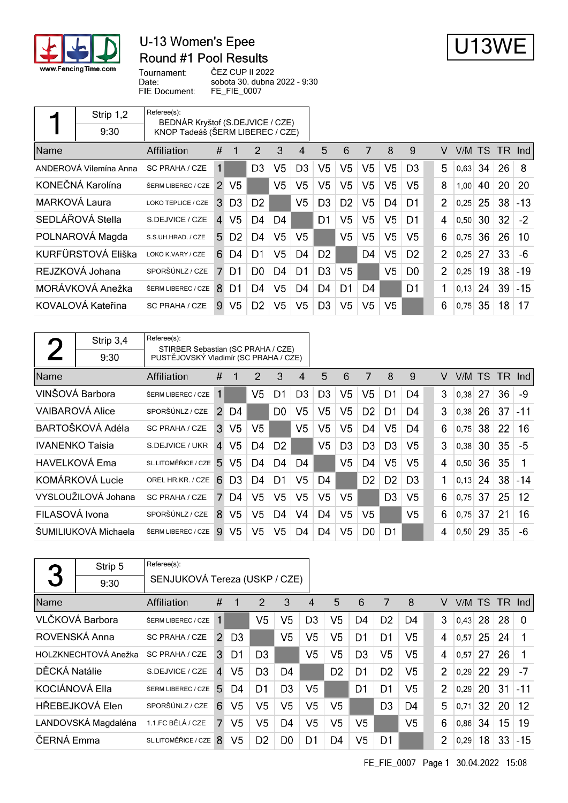

## U-13 Women's Epee Round #1 Pool Results



Tournament: ČEZ CUP II 2022 Date: sobota 30. dubna 2022 - 9:30 FIE Document: FE\_FIE\_0007

|               | Strip 1,2              | Referee(s):<br>BEDNÁR Kryštof (S.DEJVICE / CZE) |              |                |                |                |                |                |                |                |                |                |                |           |           |     |       |
|---------------|------------------------|-------------------------------------------------|--------------|----------------|----------------|----------------|----------------|----------------|----------------|----------------|----------------|----------------|----------------|-----------|-----------|-----|-------|
|               | 9:30                   | KNOP Tadeáš (ŠERM LIBEREC / CZE)                |              |                |                |                |                |                |                |                |                |                |                |           |           |     |       |
| <b>Name</b>   |                        | Affiliation                                     | #            |                | $\overline{2}$ | 3              | 4              | 5              | 6              | 7              | 8              | 9              | V              | V/M.      | <b>TS</b> | TR. | -Ind  |
|               | ANDEROVÁ Vilemína Anna | SC PRAHA / CZE                                  | 1            |                | D <sub>3</sub> | V <sub>5</sub> | D <sub>3</sub> | V <sub>5</sub> | V <sub>5</sub> | V <sub>5</sub> | V5             | D <sub>3</sub> | 5              | $0,63$ 34 |           | 26  | 8     |
|               | KONEČNÁ Karolína       | ŠERM LIBEREC / CZE                              | 2            | V5             |                | V <sub>5</sub> | V <sub>5</sub> | V <sub>5</sub> | V <sub>5</sub> | V <sub>5</sub> | V <sub>5</sub> | V <sub>5</sub> | 8              | 1,00      | 40        | 20  | 20    |
| MARKOVÁ Laura |                        | LOKO TEPLICE / CZE                              | 3.           | D <sub>3</sub> | D <sub>2</sub> |                | V <sub>5</sub> | D <sub>3</sub> | D <sub>2</sub> | V <sub>5</sub> | D4             | D1             | $\overline{2}$ | 0,25      | 25        | 38  | $-13$ |
|               | SEDLÁŘOVÁ Stella       | S.DEJVICE / CZE                                 | $\mathbf{A}$ | V <sub>5</sub> | D4             | D4             |                | D1             | V <sub>5</sub> | V5             | V <sub>5</sub> | D1             | 4              | 0,50      | 30        | 32  | $-2$  |
|               | POLNAROVÁ Magda        | S.S.UH.HRAD. / CZE                              | 5.           | D <sub>2</sub> | D4             | V <sub>5</sub> | V5             |                | V5             | V5             | V <sub>5</sub> | V5             | 6              | 0,75      | 36        | 26  | 10    |
|               | KURFÜRSTOVÁ Eliška     | LOKO K.VARY / CZE                               | 6.           | D4             | D1             | V <sub>5</sub> | D4             | D <sub>2</sub> |                | D4             | V5             | D <sub>2</sub> | 2              | 0.25      | 27        | 33  | -6    |
|               | REJZKOVÁ Johana        | SPORŠÚNLZ / CZE                                 | 7.           | D <sub>1</sub> | D <sub>0</sub> | D4             | D1             | D <sub>3</sub> | V <sub>5</sub> |                | V5             | D <sub>0</sub> | 2              | 0,25      | 19        | 38  | $-19$ |
|               | MORÁVKOVÁ Anežka       | ŠERM LIBEREC / CZE                              | 8            | D <sub>1</sub> | D4             | V <sub>5</sub> | D4             | D4             | D1             | D4             |                | D1             | 1              | 0.13      | 24        | 39  | $-15$ |
|               | KOVALOVÁ Kateřina      | SC PRAHA / CZE                                  | 9            | V <sub>5</sub> | D <sub>2</sub> | V <sub>5</sub> | V5             | D <sub>3</sub> | V <sub>5</sub> | V5             | V5             |                | 6              | 0,75      | 35        | 18  | 17    |

|                        | Strip 3,4              | Referee(s):                           | STIRBER Sebastian (SC PRAHA / CZE) |                |                |                |                |                |                |                |                |                |   |        |    |     |                   |
|------------------------|------------------------|---------------------------------------|------------------------------------|----------------|----------------|----------------|----------------|----------------|----------------|----------------|----------------|----------------|---|--------|----|-----|-------------------|
|                        | 9:30                   | PUSTĚJOVSKÝ Vladimír (SC PRAHA / CZE) |                                    |                |                |                |                |                |                |                |                |                |   |        |    |     |                   |
| <b>Name</b>            |                        | Affiliation                           | #                                  |                | 2              | 3              | 4              | 5              | 6              | 7              | 8              | 9              | v | V/M TS |    | TR. | Ind I             |
|                        | VINŠOVÁ Barbora        | ŠERM LIBEREC / CZE                    | 1                                  |                | V <sub>5</sub> | D1             | D <sub>3</sub> | D <sub>3</sub> | V <sub>5</sub> | V <sub>5</sub> | D1             | D4             | 3 | 0,38   | 27 | 36  | -9                |
|                        | <b>VAIBAROVÁ Alice</b> | SPORŠÚNLZ / CZE                       | $\mathcal{P}$                      | D4             |                | D <sub>0</sub> | V5             | V5             | V <sub>5</sub> | D <sub>2</sub> | D1             | D4             | 3 | 0,38   | 26 | 37  | -11               |
|                        | BARTOŠKOVÁ Adéla       | SC PRAHA / CZE                        | 3                                  | V <sub>5</sub> | V5             |                | V5             | V <sub>5</sub> | V <sub>5</sub> | D <sub>4</sub> | V <sub>5</sub> | D4             | 6 | 0,75   | 38 | 22  | 16                |
| <b>IVANENKO Taisia</b> |                        | S.DEJVICE / UKR                       | $\mathbf{A}$                       | V <sub>5</sub> | D4             | D <sub>2</sub> |                | V5             | D <sub>3</sub> | D <sub>3</sub> | D <sub>3</sub> | V5             | 3 | 0,38   | 30 | 35  | -5                |
|                        | <b>HAVELKOVÁ Ema</b>   | SL.LITOMĚŘICE / CZE                   | 5.                                 | V <sub>5</sub> | D4             | D4             | D4             |                | V <sub>5</sub> | D4             | V5             | V5             | 4 | 0,50   | 36 | 35  | 1                 |
|                        | KOMÁRKOVÁ Lucie        | OREL HR.KR. / CZE                     | 6                                  | D <sub>3</sub> | D4             | D1             | V5             | D4             |                | D <sub>2</sub> | D <sub>2</sub> | D <sub>3</sub> | 1 | 0,13   | 24 | 38  | $-14$             |
|                        | VYSLOUŽILOVÁ Johana    | <b>SC PRAHA / CZE</b>                 | 7.                                 | D4             | V5             | V <sub>5</sub> | V <sub>5</sub> | V5             | V5             |                | D <sub>3</sub> | V5             | 6 | 0.75   | 37 | 25  | $12 \overline{ }$ |
| FILASOVÁ Ivona         |                        | SPORŠÚNLZ / CZE                       | 8                                  | V <sub>5</sub> | V5             | D4             | V <sub>4</sub> | D4             | V <sub>5</sub> | V5             |                | V5             | 6 | 0,75   | 37 | 21  | 16                |
|                        | ŠUMILIUKOVÁ Michaela   | ŠERM LIBEREC / CZE                    | 9.                                 | V5             | V5.            | V5             | D4             | D4             | V <sub>5</sub> | D0             | D1             |                | 4 | 0.50   | 29 | 35  | -6                |

|                | Strip 5              | Referee(s):                   |                |                |                |                |                |                |                |                |                |                |      |    |     |          |
|----------------|----------------------|-------------------------------|----------------|----------------|----------------|----------------|----------------|----------------|----------------|----------------|----------------|----------------|------|----|-----|----------|
| 3              | 9:30                 | SENJUKOVÁ Tereza (USKP / CZE) |                |                |                |                |                |                |                |                |                |                |      |    |     |          |
| Name           |                      | Affiliation                   | #              | 1              | 2              | 3              | 4              | 5              | 6              | 7              | 8              | V              | V/M. | TS | TR. | -Ind     |
|                | VLČKOVÁ Barbora      | ŠERM LIBEREC / CZE            | 1              |                | V <sub>5</sub> | V <sub>5</sub> | D <sub>3</sub> | V5             | D4             | D <sub>2</sub> | D4             | 3              | 0.43 | 28 | 28  | $\Omega$ |
| ROVENSKÁ Anna  |                      | <b>SC PRAHA / CZE</b>         | $\mathcal{P}$  | D <sub>3</sub> |                | V5             | V <sub>5</sub> | V5             | D1             | D <sub>1</sub> | V5             | 4              | 0.57 | 25 | 24  |          |
|                | HOLZKNECHTOVÁ Anežka | SC PRAHA / CZE                | 3              | D1             | D <sub>3</sub> |                | V <sub>5</sub> | V5             | D <sub>3</sub> | V <sub>5</sub> | V <sub>5</sub> | $\overline{4}$ | 0,57 | 27 | 26  |          |
| DĚCKÁ Natálie  |                      | S.DEJVICE / CZE               | $\overline{4}$ | V5             | D <sub>3</sub> | D <sub>4</sub> |                | D <sub>2</sub> | D1             | D <sub>2</sub> | V5             | $\overline{2}$ | 0,29 | 22 | 29  | -7       |
| KOCIÁNOVÁ Ella |                      | ŠERM LIBEREC / CZE            | 5              | D4             | D <sub>1</sub> | D <sub>3</sub> | V <sub>5</sub> |                | D1             | D1             | V <sub>5</sub> | 2              | 0,29 | 20 | 31  | $-11$    |
|                | HŘEBEJKOVÁ Elen      | SPORŠÚNLZ / CZE               | 6              | V <sub>5</sub> | V <sub>5</sub> | V <sub>5</sub> | V <sub>5</sub> | V5             |                | D <sub>3</sub> | D <sub>4</sub> | 5              | 0,71 | 32 | 20  | 12       |
|                | LANDOVSKÁ Magdaléna  | 1.1.FC BĚLÁ / CZE             | 7              | V5             | V <sub>5</sub> | D <sub>4</sub> | V <sub>5</sub> | V5             | V5             |                | V <sub>5</sub> | 6              | 0,86 | 34 | 15  | 19       |
| ČERNÁ Emma     |                      | SL.LITOMĚŘICE / CZE           | 8              | V5             | D <sub>2</sub> | D <sub>0</sub> | D1             | D4             | V5             | D1             |                | $\overline{2}$ | 0,29 | 18 | 33  | $-15$    |

FE\_FIE\_0007 Page 1 30.04.2022 15:08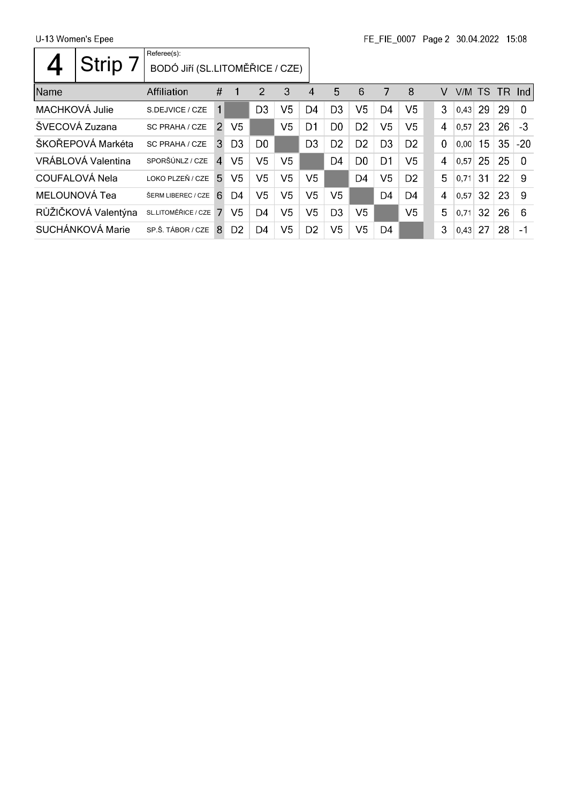U-13 Women's Epee

 $\Gamma$ 

|                | <b>Strip</b>        | Referee(s):<br>BODÓ JIří (SL.LITOMĚŘICE / CZE) |                |                |                |                |                |                |                |                |                |          |        |    |          |          |
|----------------|---------------------|------------------------------------------------|----------------|----------------|----------------|----------------|----------------|----------------|----------------|----------------|----------------|----------|--------|----|----------|----------|
| Name           |                     | Affiliation                                    | #              |                | $\overline{2}$ | 3              | 4              | 5              | 6              | 7              | 8              | v        | V/M TS |    | $TR$ Ind |          |
| MACHKOVÁ Julie |                     | S.DEJVICE / CZE                                | 1              |                | D <sub>3</sub> | V <sub>5</sub> | D4             | D <sub>3</sub> | V <sub>5</sub> | D <sub>4</sub> | V5             | 3        | 0,43   | 29 | 29       | $\Omega$ |
|                | ŠVECOVÁ Zuzana      | <b>SC PRAHA / CZE</b>                          | $\mathcal{P}$  | V5             |                | V <sub>5</sub> | D <sub>1</sub> | D <sub>0</sub> | D <sub>2</sub> | V5             | V5             | 4        | 0,57   | 23 | 26       | $-3$     |
|                | ŠKOŘEPOVÁ Markéta   | SC PRAHA / CZE                                 | 3              | D3             | D <sub>0</sub> |                | D <sub>3</sub> | D <sub>2</sub> | D <sub>2</sub> | D <sub>3</sub> | D <sub>2</sub> | $\Omega$ | 0.00   | 15 | 35       | $-20$    |
|                | VRÁBLOVÁ Valentina  | SPORŠÚNLZ / CZE                                | $\overline{4}$ | V5             | V5             | V5             |                | D4             | D <sub>0</sub> | D1             | V5             | 4        | 0.57   | 25 | 25       | $\Omega$ |
|                | COUFALOVÁ Nela      | LOKO PLZEŇ / CZE                               | 5.             | V5             | V <sub>5</sub> | V <sub>5</sub> | V5             |                | D <sub>4</sub> | V <sub>5</sub> | D <sub>2</sub> | 5        | 0.71   | 31 | 22       | 9        |
|                | MELOUNOVÁ Tea       | ŠERM LIBEREC / CZE                             | 6              | D4             | V <sub>5</sub> | V <sub>5</sub> | V <sub>5</sub> | V5             |                | D4             | D <sub>4</sub> | 4        | 0.57   | 32 | 23       | -9       |
|                | RŮŽIČKOVÁ Valentýna | SL.LITOMĚŘICE / CZE                            | 7              | V5             | D <sub>4</sub> | V <sub>5</sub> | V <sub>5</sub> | D <sub>3</sub> | V5             |                | V5             | 5        | 0.71   | 32 | 26       | 6        |
|                | SUCHÁNKOVÁ Marie    | SP.Š. TÁBOR / CZE                              | 8              | D <sub>2</sub> | D <sub>4</sub> | V5             | D <sub>2</sub> | V5             | V5             | D4             |                | 3        | 0,43   | 27 | 28       | $-1$     |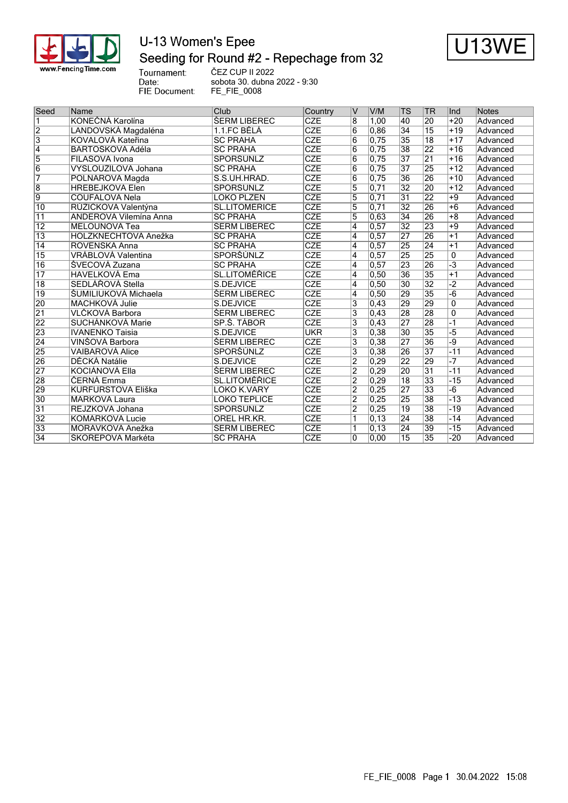

### U-13 Women's Epee Seeding for Round #2 - Repechage from 32 ČEZ CUP II 2022



Tournament:<br>Date: FIE Document:

sobota 30. dubna 2022 - 9:30 FE\_FIE\_0008

| Seed            | Name                      | Club                       | Country                 | IV                      | V/M   | ΙTS             | TR              | lnd      | <b>Notes</b> |
|-----------------|---------------------------|----------------------------|-------------------------|-------------------------|-------|-----------------|-----------------|----------|--------------|
|                 | KONEČNÁ Karolína          | <b><i>SERM LIBEREC</i></b> | <b>CZE</b>              | $\overline{8}$          | 1,00  | 40              | 20              | $+20$    | Advanced     |
| $\overline{2}$  | LANDOVSKÁ Magdaléna       | 1.1.FC BĚLÁ                | <b>CZE</b>              | $\overline{6}$          | 0,86  | $\overline{34}$ | $\overline{15}$ | $+19$    | Advanced     |
| $\overline{3}$  | KOVALOVÁ Kateřina         | <b>SC PRAHA</b>            | <b>CZE</b>              | 6                       | 0,75  | 35              | $\overline{18}$ | $+17$    | Advanced     |
| $\overline{4}$  | BARTOŠKOVÁ Adéla          | <b>SC PRAHA</b>            | <b>CZE</b>              | 6                       | 0,75  | 38              | $\overline{22}$ | $+16$    | Advanced     |
| 5               | FILASOVÁ Ivona            | SPORŠÚNLZ                  | <b>CZE</b>              | 6                       | 0,75  | $\overline{37}$ | $\overline{21}$ | $+16$    | Advanced     |
| $\overline{6}$  | VYSLOUŽILOVÁ Johana       | <b>SC PRAHA</b>            | <b>CZE</b>              | 6                       | 0.75  | $\overline{37}$ | 25              | $+12$    | Advanced     |
| 7               | POLNAROVÁ Magda           | S.S.UH.HRAD.               | <b>CZE</b>              | $\overline{6}$          | 0,75  | $\overline{36}$ | 26              | $+10$    | Advanced     |
| $\overline{8}$  | <b>HŘEBEJKOVÁ Elen</b>    | <b>SPORŠÚNLZ</b>           | $\overline{\text{CZE}}$ | $\overline{5}$          | 0,71  | $\overline{32}$ | 20              | $+12$    | Advanced     |
| $\overline{9}$  | <b>COUFALOVÁ Nela</b>     | LOKO PLZEŇ                 | <b>CZE</b>              | 5                       | 0,71  | $\overline{31}$ | 22              | $+9$     | Advanced     |
| $\overline{10}$ | RŮŽIČKOVÁ Valentýna       | <b>SL.LITOMÉŘICE</b>       | <b>CZE</b>              | $\overline{5}$          | 0,71  | $\overline{32}$ | 26              | $+6$     | Advanced     |
| $\overline{11}$ | ANDEROVÁ Vilemína Anna    | <b>SC PRAHA</b>            | <b>CZE</b>              | $\overline{5}$          | 0,63  | $\overline{34}$ | 26              | $+8$     | Advanced     |
| $\overline{12}$ | <b>MELOUNOVÁ Tea</b>      | ŠERM LIBEREC               | <b>CZE</b>              | 4                       | 0.57  | $\overline{32}$ | 23              | $+9$     | Advanced     |
| $\overline{13}$ | HOLZKNECHTOVÁ Anežka      | <b>SC PRAHA</b>            | <b>CZE</b>              | 4                       | 0,57  | $\overline{27}$ | 26              | $+1$     | Advanced     |
| $\overline{14}$ | ROVENSKÁ Anna             | <b>SC PRAHA</b>            | <b>CZE</b>              | 4                       | 0,57  | 25              | 24              | $+1$     | Advanced     |
| $\overline{15}$ | VRÁBLOVÁ Valentina        | SPORŠÚNLZ                  | <b>CZE</b>              | 4                       | 0,57  | 25              | 25              | $\Omega$ | Advanced     |
| $\overline{16}$ | ŠVECOVÁ Zuzana            | <b>SC PRAHA</b>            | CZE                     | $\overline{4}$          | 0,57  | 23              | 26              | $-3$     | Advanced     |
| $\overline{17}$ | <b>HAVELKOVÁ Ema</b>      | <b>SL.LITOMÉRICE</b>       | CZE                     | 4                       | 0,50  | 36              | 35              | $+1$     | Advanced     |
| $\overline{18}$ | SEDLÁŘOVÁ Stella          | S.DEJVICE                  | <b>CZE</b>              | 4                       | 0,50  | $\overline{30}$ | $\overline{32}$ | -2       | Advanced     |
| $\overline{19}$ | ŠUMILIUKOVÁ Michaela      | <b>ŠERM LIBEREC</b>        | CZE                     | 4                       | 0,50  | 29              | 35              | $-6$     | Advanced     |
| 20              | MACHKOVÁ Julie            | S.DEJVICE                  | <b>CZE</b>              | 3                       | 0,43  | 29              | 29              | 0        | Advanced     |
| $\overline{21}$ | VLČKOVÁ Barbora           | <b>SERM LIBEREC</b>        | <b>CZE</b>              | 3                       | 0,43  | 28              | 28              | $\Omega$ | Advanced     |
| 22              | SUCHÁNKOVÁ Marie          | SP.Š. TÁBOR                | <b>CZE</b>              | $\overline{\mathbf{3}}$ | 0,43  | $\overline{27}$ | 28              | $-1$     | Advanced     |
| 23              | <b>IVANENKO Taisia</b>    | S.DEJVICE                  | <b>UKR</b>              | $\overline{3}$          | 0,38  | $\overline{30}$ | 35              | -5       | Advanced     |
| $\overline{24}$ | VINŠOVÁ Barbora           | <b>ŠERM LIBEREC</b>        | <b>CZE</b>              | 3                       | 0,38  | 27              | $\overline{36}$ | -9       | Advanced     |
| 25              | VAIBAROVÁ Alice           | SPORŠÚNLZ                  | CZE                     | 3                       | 0,38  | 26              | $\overline{37}$ | $-11$    | Advanced     |
| 26              | DĚCKÁ Natálie             | S.DEJVICE                  | CZE                     | $\overline{2}$          | 0,29  | 22              | 29              | $-7$     | Advanced     |
| 27              | KOCIÁNOVÁ Ella            | <b>ŠERM LIBEREC</b>        | <b>CZE</b>              | $\overline{2}$          | 0.29  | 20              | $\overline{31}$ | $-11$    | Advanced     |
| 28              | ČERNÁ Emma                | <b>SL.LITOMĚŘICE</b>       | <b>CZE</b>              | $\overline{2}$          | 0,29  | $\overline{18}$ | 33              | $-15$    | Advanced     |
| 29              | <b>KURFÜRSTOVÁ Eliška</b> | <b>LOKO K.VARY</b>         | <b>CZE</b>              | $\overline{2}$          | 0,25  | $\overline{27}$ | 33              | $-6$     | Advanced     |
| $\overline{30}$ | <b>MARKOVÁ Laura</b>      | <b>LOKO TEPLICE</b>        | CZE                     | $\overline{2}$          | 0,25  | 25              | 38              | $-13$    | Advanced     |
| 31              | REJZKOVÁ Johana           | SPORŠÚNLZ                  | <b>CZE</b>              | $\overline{2}$          | 0,25  | 19              | $\overline{38}$ | $-19$    | Advanced     |
| $\overline{32}$ | <b>KOMÁRKOVÁ Lucie</b>    | OREL HR.KR.                | $\overline{\text{CZE}}$ |                         | 0, 13 | $\overline{24}$ | 38              | $-14$    | Advanced     |
| 33              | MORÁVKOVÁ Anežka          | ŠERM LIBEREC               | <b>CZE</b>              |                         | 0, 13 | 24              | 39              | $-15$    | Advanced     |
| $\overline{34}$ | ŠKOŘEPOVÁ Markéta         | <b>SC PRAHA</b>            | <b>CZE</b>              | 0                       | 0,00  | $\overline{15}$ | $\overline{35}$ | $-20$    | Advanced     |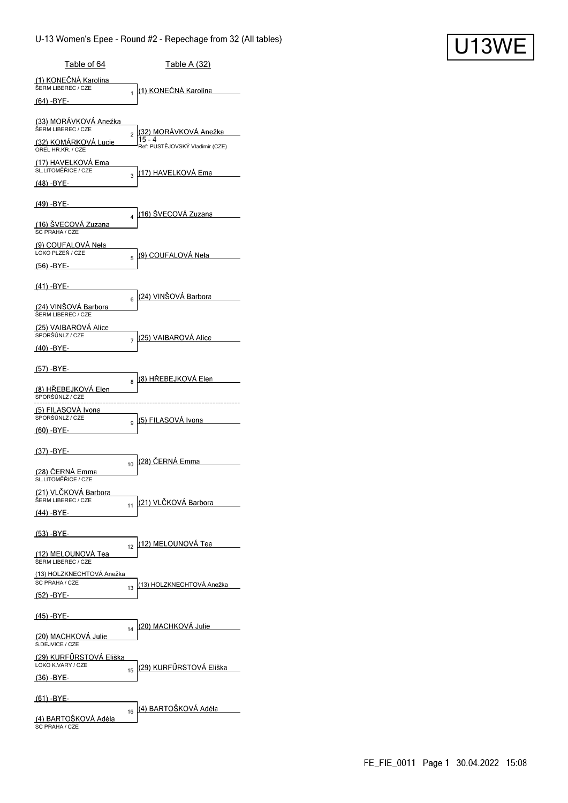| Table of 64                                     |                | <u>Table A (32)</u>                       |
|-------------------------------------------------|----------------|-------------------------------------------|
| (1) KONEČNÁ Karolína<br>ŠERM LIBEREC / CZE      |                | <u>(1) KONEČNÁ Karolína</u>               |
| (64) -BYE-                                      | 1              |                                           |
| (33) MORAVKOVA Anežka<br>ŠERM LIBEREC / CZE     |                | (32) MORAVKOVÁ Anežka                     |
| (32) KOMARKOVA Lucie<br>OREL HR.KR. / CZE       | $\overline{a}$ | 15 - 4<br>Ref: PUSTĚJOVSKÝ Vladimír (CZE) |
| (17) HAVELKOVA Ema<br>SL.LITOMĚŘICE / CZE       |                | (17) HAVELKOVA Ema                        |
| (48) -BYE-                                      | 3              |                                           |
| (49) -BYE-                                      |                |                                           |
| (16) SVECOVA Zuzana<br>SC PRAHA / CZE           | 4              | <u>(16) ŠVECOVÁ Zuzana</u>                |
| (9) COUFALOVA Nela<br>LOKO PLZEŇ / CZE          |                | <u>(9) COUFALOVA Nela</u>                 |
| (56) -BYE-                                      | 5              |                                           |
| $(41) - BYE -$                                  |                | (24) VINŠOVÁ Barbora                      |
| (24) VINŠOVÁ Barbora<br>ŠERM LIBEREC / CZE      | 6              |                                           |
| (25) VAIBAROVA Alice<br>SPORŠÚNLZ / CZE         |                | (25) VAIBAROVÁ Alice                      |
| <u>(40) -BYE-</u>                               | 7              |                                           |
| (57) -BYE-                                      |                |                                           |
| (8) HREBEJKOVA Elen<br>SPORŠÚNLZ / CZE          | 8              | (8) HREBEJKOVA Elen                       |
| (5) FILASOVÁ Ivona<br>SPORŠÚNLZ / CZE           |                | (5) FILASOVÁ Ivona                        |
| (60) -BYE-                                      | 9              |                                           |
| (37) -BYE-                                      |                | (28) ČERNÁ Emma                           |
| (28) ČERNÁ Emma<br>SL.LITOMERICE / CZE          | 10             |                                           |
| (21) VLČKOVÁ Barbora<br>ŠERM LIBEREC / CZE      | 11             | (21) VLČKOVÁ Barbora                      |
| (44) -BYE-                                      |                |                                           |
| <u>(53) -BY</u> E-                              |                | (12) MELOUNOVÁ Tea                        |
| <u>(12) MELOUNOVÁ Tea</u><br>ŠERM LIBEREC / CZE | 12             |                                           |
| (13) HOLZKNECHTOVÁ Anežka<br>SC PRAHA / CZE     |                | (13) HOLZKNECHTOVÁ Anežka                 |
| (52) -BYE-                                      | 13             |                                           |
| (45) -BYE-                                      |                |                                           |
| (20) MACHKOVA Julie<br>S.DEJVICE / CZE          | 14             | (20) MACHKOVA Julie                       |
| (29) KURFÜRSTOVÁ Eliška<br>LOKO K.VARY / CZE    |                |                                           |
| (36) -BYE-                                      | 15             | (29) KURFÜRSTOVÁ Eliška                   |
| <u>(61) -BYE-</u>                               |                |                                           |
| (4) BARTOŠKOVÁ Adéla<br>SC PRAHA / CZE          | 16             | (4) BARTOŠKOVÁ Adéla                      |

**U13WE**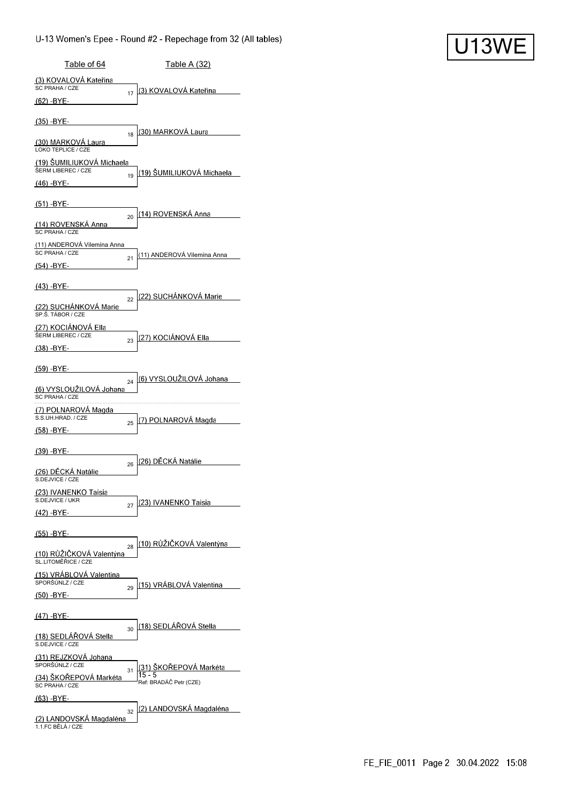| Table of 64                                         | <u>Table A (32)</u>                                              |
|-----------------------------------------------------|------------------------------------------------------------------|
| (3) KOVALOVA Kateřina<br>SC PRAHA / CZE             | (3) KOVALOVÁ Kateřina                                            |
| <u>(62) -</u> BYE-                                  | 17                                                               |
| $(35) - BYE-$                                       | (30) MARKOVA Laura                                               |
| (30) MARKOVA Laura<br>LOKO TEPLICE / CZE            | 18                                                               |
| (19) SUMILIUKOVA Michaela<br>ŠERM LIBEREC / CZE     | (19) ŠUMILIUKOVÁ Michaela                                        |
| <u>(46) -BYE-</u>                                   | 19                                                               |
| (51) -BYE-                                          |                                                                  |
| (14) ROVENSKA Anna<br>SC PRAHA / CZE                | <u>(14) ROVENSKÁ Anna</u><br>20                                  |
| (11) ANDEROVA Vilemína Anna<br>SC PRAHA / CZE       | (11) ANDEROVÁ Vilemína Anna<br>21                                |
| (54) -BYE-                                          |                                                                  |
| (43) -BYE-                                          |                                                                  |
| (22) SUCHÁNKOVÁ Marie<br>SP.Š. TÁBOR / CZE          | (22) SUCHÁNKOVÁ Marie<br>22                                      |
| (27) KOCIÁNOVÁ Ella<br>ŠERM LIBEREC / CZE           | <u>(27) KOCIÁNOVÁ Ella</u><br>23                                 |
| $(38) - BYE -$                                      |                                                                  |
| (59) -BYE-                                          | (6) VYSLOUŽILOVÁ Johana                                          |
| (6) VYSLOUŽILOVÁ Johana<br>SC PRAHA / CZE           | 24                                                               |
| (7) POLNAROVA Magda<br>S.S.UH.HRAD. / CZE           | (7) POLNAROVÁ Magda<br>25                                        |
| (58) -BYE-                                          |                                                                  |
| (39) -BYE-                                          | (26) DÉCKA Natálie                                               |
| (26) DĚCKÁ Natálie<br>S.DEJVICE / CZE               | 26                                                               |
| <u>(23) IVANENKO Taisia</u><br>S.DEJVICE / UKR      | 23) IVANENKO Taisia<br>27                                        |
| <u>(42) -BYE-</u>                                   |                                                                  |
| <u>(55) -BYE-</u>                                   | (10) RÜŽIČKOVÁ Valentýna                                         |
| (10) RŮŽIČKOVÁ Valentýna<br>SL.LITOMĚŘICE / CZE     | 28                                                               |
| (15) VRÁBLOVÁ Valentina<br>SPORŠÚNLZ / CZE          | (15) VRÁBLOVÁ Valentina                                          |
| (50) -BYE-                                          | 29                                                               |
| <u>(47) -BYE-</u>                                   |                                                                  |
| (18) SEDLAROVA Stella<br>S.DEJVICE / CZE            | (18) SEDLAROVA Stella<br>30                                      |
| (31) REJZKOVA Johana<br>SPORŠÚNLZ / CZE             |                                                                  |
| (34) SKOREPOVA Markéta<br>SC PRAHA / CZE            | (31) SKOREPOVÁ Markéta<br>31<br>15 - 5<br>Ref: BRADÁČ Petr (CZE) |
| (63) -BYE-                                          |                                                                  |
| <u>(2) LANDOVSKÁ Magdaléna</u><br>1.1.FC BĚLÁ / CZE | (2) LANDOVSKA Magdaléna<br>32                                    |

**U13WE**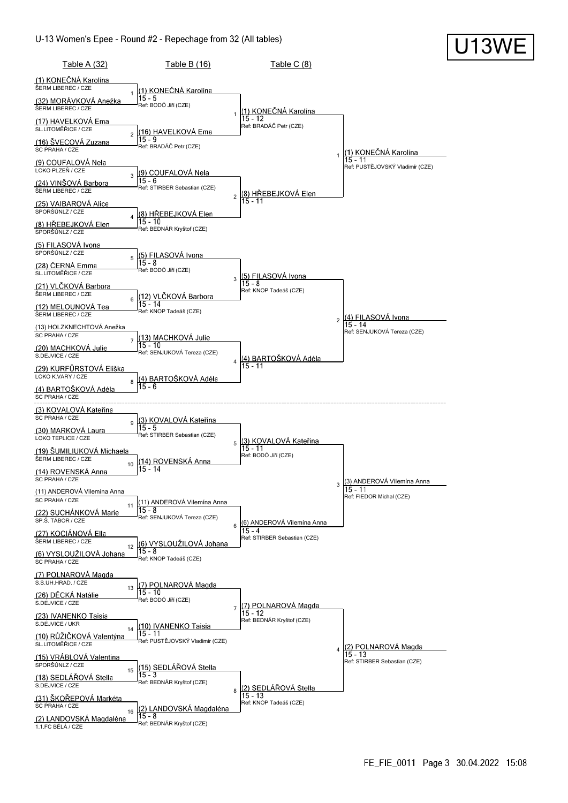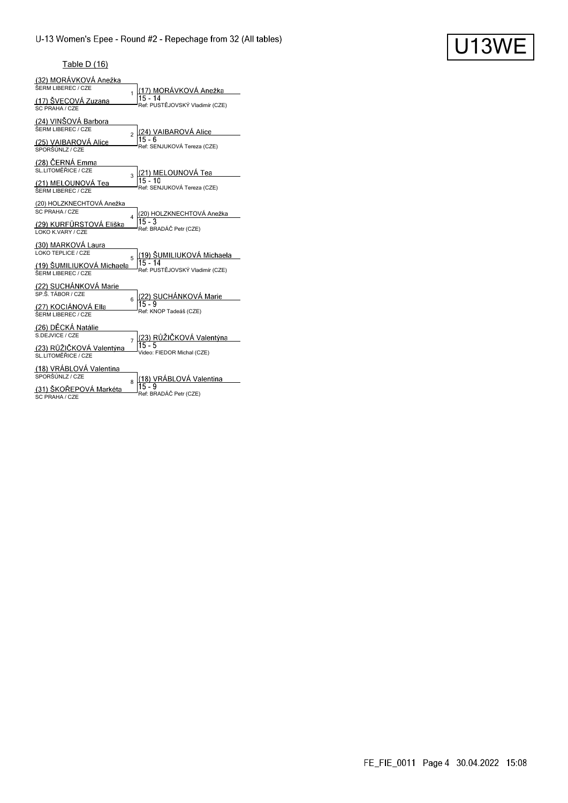# U13WE

#### Table D (16)

| <u>(32) MORÁVKOVÁ Anežka</u><br>ŠERM LIBEREC / CZE<br>(17) ŠVECOVÁ Zuzana<br>SC PRAHA / CZE | 1              | (17) MORÁVKOVÁ Anežka<br>$15 - 14$<br>Ref: PUSTĚJOVSKÝ Vladimír (CZE)     |
|---------------------------------------------------------------------------------------------|----------------|---------------------------------------------------------------------------|
| (24) VINŠOVÁ Barbora<br>ŠERM LIBEREC / CZE<br>(25) VAIBAROVA Alice<br>SPORŠÚNLZ / CZE       | $\overline{a}$ | (24) VAIBAROVÁ Alice<br>$15 - 6$<br>Ref: SENJUKOVÁ Tereza (CZE)           |
| (28) ČERNÁ Emma<br>SL.LITOMĚŘICE / CZE<br>(21) MELOUNOVÁ Tea<br>ŠERM LIBEREC / CZE          | 3              | (21) MELOUNOVÁ Tea<br>$15 - 10$<br>Ref: SENJUKOVÁ Tereza (CZE)            |
| (20) HOLZKNECHTOVÁ Anežka<br>SC PRAHA / CZE<br>(29) KURFÜRSTOVÁ Eliška<br>LOKO K.VARY / CZE | 4              | (20) HOLZKNECHTOVÁ Anežka<br>$15 - 3$<br>Ref: BRADÁČ Petr (CZE)           |
| (30) MARKOVA Laura<br>LOKO TEPLICE / CZE<br>(19) ŠUMILIUKOVÁ Michaela<br>ŠERM LIBEREC / CZE | 5              | (19) ŠUMILIUKOVÁ Michaela<br>$15 - 14$<br>Ref: PUSTĚJOVSKÝ Vladimír (CZE) |
| (22) SUCHÁNKOVÁ Marie<br>SP.Š. TÁBOR / CZE<br>(27) KOCIÁNOVÁ Ella<br>ŠERM LIBEREC / CZE     | 6              | (22) SUCHÁNKOVÁ Marie<br>$15 - 9$<br>Ref: KNOP Tadeáš (CZE)               |
| (26) DĚCKÁ Natálie<br>S.DEJVICE / CZE<br>(23) RŮŽIČKOVÁ Valentýna<br>SL LITOMĚŘICE / CZE    | $\overline{7}$ | (23) RŮŽIČKOVÁ Valentýna<br>$15 - 5$<br>Video: FIEDOR Michal (CZE)        |
| (18) VRÁBLOVÁ Valentina<br>SPORŠÚNLZ / CZE<br>(31) ŠKOŘEPOVÁ Markéta<br>SC PRAHA / CZE      | 8              | (18) VRÁBLOVÁ Valentina<br>$15 - 9$<br>Ref: BRADÁČ Petr (CZE)             |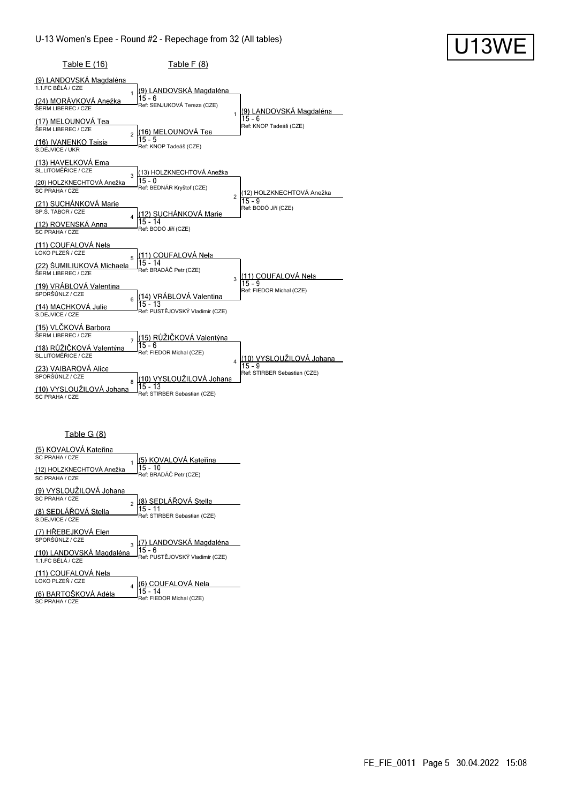| Table E (16)                                                                                                                                                                                                         | <b>Table F (8)</b>                                                                                                                           |                                                                  |
|----------------------------------------------------------------------------------------------------------------------------------------------------------------------------------------------------------------------|----------------------------------------------------------------------------------------------------------------------------------------------|------------------------------------------------------------------|
| (9) LANDOVSKÁ Magdaléna<br>1.1.FC BĚLÁ / CZE<br>$\mathbf{1}$<br>(24) MORÁVKOVÁ Anežka<br>ŠERM LIBEREC / CZE<br>(17) MELOUNOVÁ Tea<br>ŠERM LIBEREC / CZE<br>$\overline{2}$<br>(16) IVANENKO Taisia<br>S.DEJVICE / UKR | (9) LANDOVSKÁ Magdaléna<br>$15 - 6$<br>Ref: SENJUKOVÁ Tereza (CZE)<br>(16) MELOUNOVÁ Tea<br>15 - 5<br>Ref: KNOP Tadeáš (CZE)                 | (9) LANDOVSKÁ Magdaléna<br>1<br>15 - 6<br>Ref: KNOP Tadeáš (CZE) |
| (13) HAVELKOVÁ Ema<br>SL.LITOMĚŘICE / CZE<br>3<br>(20) HOLZKNECHTOVÁ Anežka<br>SC PRAHA / CZE<br>(21) SUCHÁNKOVÁ Marie<br>SP.Š. TÁBOR / CZE<br>$\overline{\mathbf{4}}$<br>(12) ROVENSKÁ Anna<br>SC PRAHA / CZE       | (13) HOLZKNECHTOVÁ Anežka<br>$15 - 0$<br>Ref: BEDNÁR Kryštof (CZE)<br>(12) SUCHÁNKOVÁ Marie<br>$15 - 14$<br>Ref: BODÓ Jiří (CZE)             | (12) HOLZKNECHTOVÁ Anežka<br>2<br>15 - 9<br>Ref: BODÓ Jiří (CZE) |
| (11) COUFALOVÁ Nela<br>LOKO PLZEŇ / CZE<br>5<br>(22) ŠUMILIUKOVÁ Michaela<br>ŠERM LIBEREC / CZE<br>(19) VRÁBLOVÁ Valentina<br>SPORŠÚNLZ / CZE<br>6<br>(14) MACHKOVA Julie<br>S.DEJVICE / CZE                         | <u>(11) COUFALOVÁ</u> Nela<br>$15 - 14$<br>Ref: BRADÁČ Petr (CZE)<br>(14) VRÁBLOVÁ Valentina<br>$15 - 13$<br>Ref: PUSTĚJOVSKÝ Vladimír (CZE) | (11) COUFALOVÁ Nela<br>3<br>15 - 9<br>Ref: FIEDOR Michal (CZE)   |
| (15) VLČKOVÁ Barbora<br>ŠERM LIBEREC / CZE<br>$\overline{7}$<br>(18) RŮŽIČKOVÁ Valentýna<br>SL.LITOMĚŘICE / CZE<br>(23) VAIBAROVÁ Alice<br>SPORŠÚNLZ / CZE<br>8<br>(10) VYSLOUŽILOVÁ Johana<br>SC PRAHA / CZE        | (15) RŮŽIČKOVÁ Valentýna<br>$15 - 6$<br>Ref: FIEDOR Michal (CZE)<br>(10) VYSLOUŽILOVÁ Johana<br>$15 - 13$<br>Ref: STIRBER Sebastian (CZE)    | (10) VYSLOUŽILOVÁ Johana<br>Ref: STIRBER Sebastian (CZE)         |

### Table G (8)

| (5) KOVALOVÁ Kateřina<br>SC PRAHA / CZE<br>(12) HOLZKNECHTOVÁ Anežka<br>SC PRAHA / CZE                   | (5) KOVALOVÁ Kateřina<br>15 - 10<br>Ref: BRADÁČ Petr (CZE)            |
|----------------------------------------------------------------------------------------------------------|-----------------------------------------------------------------------|
| (9) VYSLOUŽILOVÁ Johana<br>SC PRAHA / CZE<br>$\mathfrak{p}$<br>(8) SEDLÁŘOVÁ Stella<br>S.DE.JVICE / CZE  | (8) SEDLÁŘOVÁ Stella<br>15 - 11<br>Ref: STIRBER Sebastian (CZE)       |
| (7) HŘEBEJKOVÁ Elen<br>SPORŠÚNLZ / CZE<br>$\overline{3}$<br>(10) LANDOVSKÁ Magdaléna<br>11 FC BĚLÁ / CZE | 7) LANDOVSKÁ Magdaléna<br>$15 - 6$<br>Ref: PUSTĚJOVSKÝ Vladimír (CZE) |
| (11) COUFALOVÁ Nela<br>LOKO PLZEŇ / CZE<br>(6) BARTOŠKOVÁ Adéla<br>SC PRAHA / CZE                        | (6) COUFALOVÁ Nela<br>15 - 14<br>Ref: FIEDOR Michal (CZE)             |

U13WE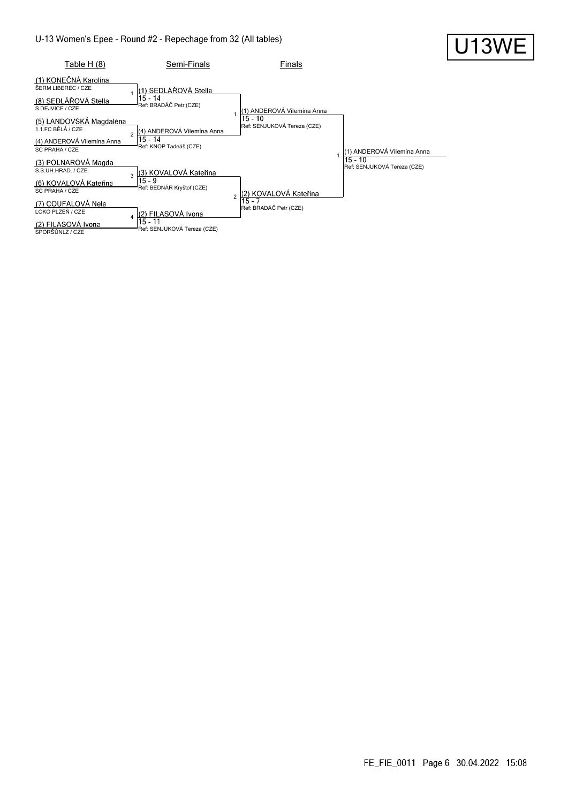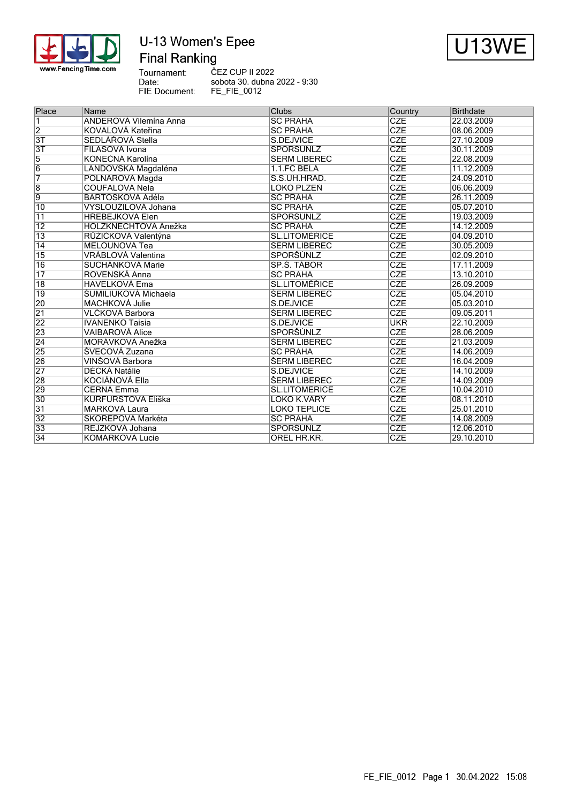

# U-13 Women's Epee **Final Ranking**



Tournament:<br>Date: ČEZ CUP II 2022 sobota 30. dubna 2022 - 9:30 FIE Document: FE\_FIE\_0012

| Place           | Name                          | <b>Clubs</b>         | Country                 | <b>Birthdate</b> |
|-----------------|-------------------------------|----------------------|-------------------------|------------------|
| 1               | <b>ANDEROVÁ Vilemína Anna</b> | <b>SC PRAHA</b>      | <b>CZE</b>              | 22.03.2009       |
| $\overline{2}$  | KOVALOVÁ Kateřina             | <b>SC PRAHA</b>      | <b>CZE</b>              | 08.06.2009       |
| $\overline{3T}$ | SEDLÁŘOVÁ Stella              | S.DEJVICE            | <b>CZE</b>              | 27.10.2009       |
| $\overline{3T}$ | FILASOVÁ Ivona                | <b>SPORŠÚNLZ</b>     | <b>CZE</b>              | 30.11.2009       |
| $\overline{5}$  | KONEČNÁ Karolína              | ŠERM LIBEREC         | <b>CZE</b>              | 22.08.2009       |
| $\overline{6}$  | LANDOVSKÁ Magdaléna           | 1.1.FC BĚLÁ          | <b>CZE</b>              | 11.12.2009       |
| 7               | POLNAROVÁ Magda               | S.S.UH.HRAD.         | $\overline{\text{CZE}}$ | 24.09.2010       |
| $\overline{8}$  | <b>COUFALOVÁ Nela</b>         | LOKO PLZEŇ           | <b>CZE</b>              | 06.06.2009       |
| $\overline{9}$  | BARTOŠKOVÁ Adéla              | <b>SC PRAHA</b>      | <b>CZE</b>              | 26.11.2009       |
| 10              | VYSLOUŽILOVÁ Johana           | <b>SC PRAHA</b>      | <b>CZE</b>              | 05.07.2010       |
| 11              | <b>HŘEBEJKOVÁ Elen</b>        | SPORŠÚNLZ            | <b>CZE</b>              | 19.03.2009       |
| $\overline{12}$ | HOLZKNECHTOVÁ Anežka          | <b>SC PRAHA</b>      | <b>CZE</b>              | 14.12.2009       |
| $\overline{13}$ | RŮŽIČKOVÁ Valentýna           | <b>SL.LITOMĚŘICE</b> | <b>CZE</b>              | 04.09.2010       |
| $\overline{14}$ | <b>MELOUNOVÁ Tea</b>          | ŠERM LIBEREC         | CZE                     | 30.05.2009       |
| $\overline{15}$ | VRÁBLOVÁ Valentina            | SPORŠÚNLZ            | <b>CZE</b>              | 02.09.2010       |
| $\overline{16}$ | SUCHÁNKOVÁ Marie              | SP.S. TÁBOR          | <b>CZE</b>              | 17.11.2009       |
| $\overline{17}$ | ROVENSKÁ Anna                 | <b>SC PRAHA</b>      | <b>CZE</b>              | 13.10.2010       |
| $\overline{18}$ | <b>HAVELKOVÁ Ema</b>          | <b>SL.LITOMÉŘICE</b> | <b>CZE</b>              | 26.09.2009       |
| $\overline{19}$ | <b>ŠUMILIUKOVÁ Michaela</b>   | <b>ŠERM LIBEREC</b>  | <b>CZE</b>              | 05.04.2010       |
| 20              | MACHKOVÁ Julie                | S.DEJVICE            | <b>CZE</b>              | 05.03.2010       |
| $\overline{21}$ | VLČKOVÁ Barbora               | ŠERM LIBEREC         | CZE                     | 09.05.2011       |
| $\overline{22}$ | <b>IVANENKO Taisia</b>        | S.DEJVICE            | <b>UKR</b>              | 22.10.2009       |
| 23              | <b>VAIBAROVÁ Alice</b>        | SPORŠÚNLZ            | <b>CZE</b>              | 28.06.2009       |
| $\overline{24}$ | MORÁVKOVÁ Anežka              | <b>ŠERM LIBEREC</b>  | <b>CZE</b>              | 21.03.2009       |
| 25              | ŠVECOVÁ Zuzana                | <b>SC PRAHA</b>      | <b>CZE</b>              | 14.06.2009       |
| 26              | VINŠOVÁ Barbora               | <b>ŠERM LIBEREC</b>  | <b>CZE</b>              | 16.04.2009       |
| $\overline{27}$ | <b>DĚCKÁ Natálie</b>          | S.DEJVICE            | <b>CZE</b>              | 14.10.2009       |
| 28              | KOCIÁNOVÁ Ella                | <b>ŠERM LIBEREC</b>  | CZE                     | 14.09.2009       |
| 29              | ČERNÁ Emma                    | <b>SL.LITOMĚŘICE</b> | <b>CZE</b>              | 10.04.2010       |
| 30              | KURFÜRSTOVÁ Eliška            | LOKO K.VARY          | <b>CZE</b>              | 08.11.2010       |
| $\overline{31}$ | MARKOVÁ Laura                 | <b>LOKO TEPLICE</b>  | <b>CZE</b>              | 25.01.2010       |
| $\overline{32}$ | ŠKOŘEPOVÁ Markéta             | <b>SC PRAHA</b>      | <b>CZE</b>              | 14.08.2009       |
| $\overline{33}$ | REJZKOVÁ Johana               | SPORŠÚNLZ            | <b>CZE</b>              | 12.06.2010       |
| $\overline{34}$ | KOMÁRKOVÁ Lucie               | OREL HR.KR.          | <b>CZE</b>              | 29.10.2010       |